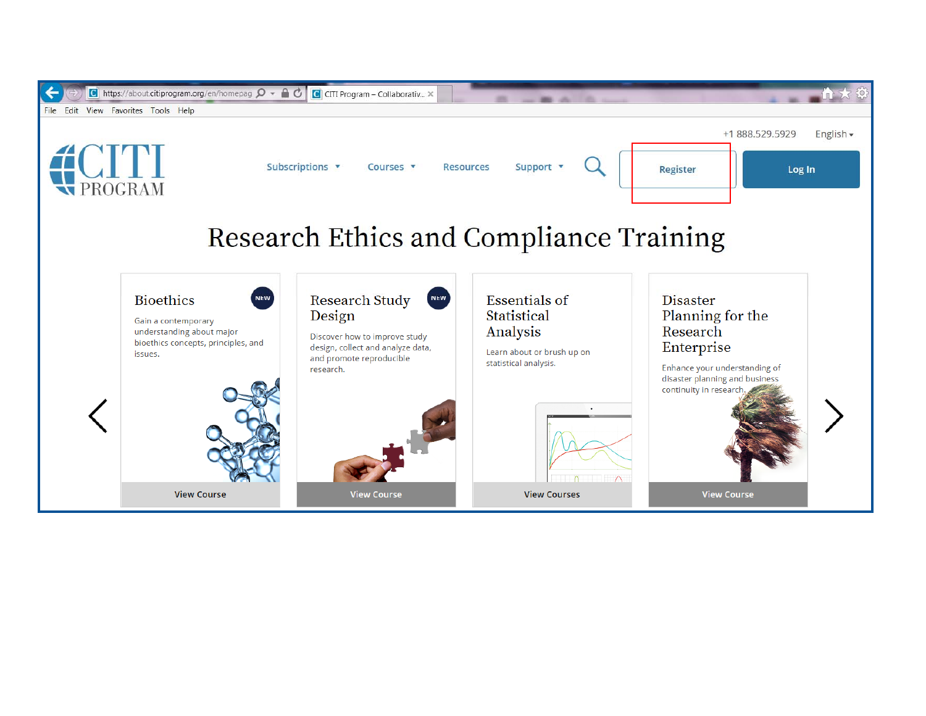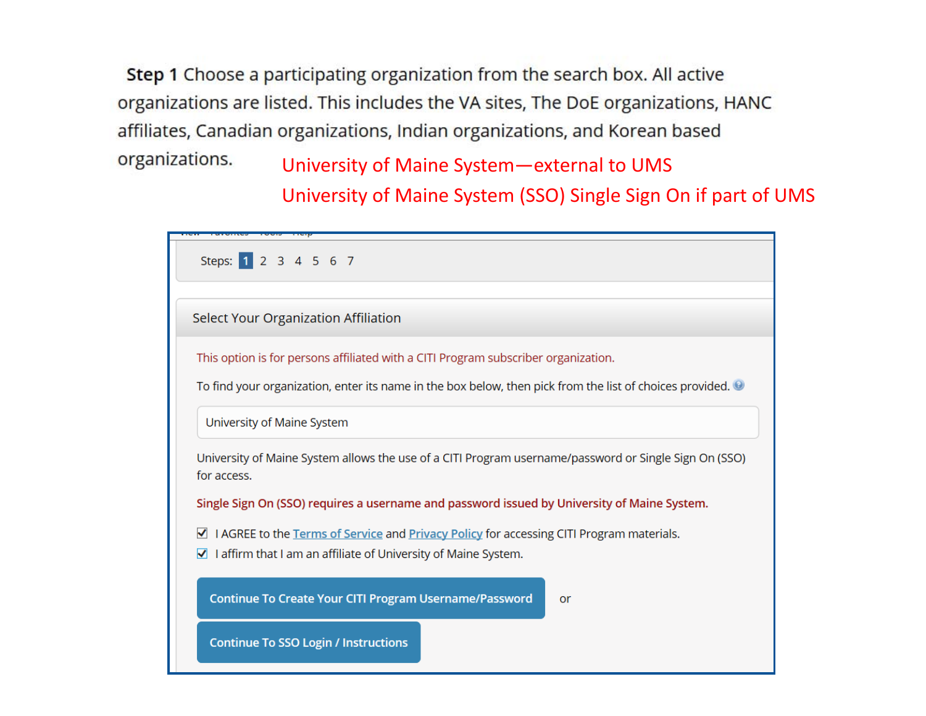Step 1 Choose a participating organization from the search box. All active organizations are listed. This includes the VA sites, The DoE organizations, HANC affiliates, Canadian organizations, Indian organizations, and Korean based organizations. University of Maine System—external to UMS

University of Maine System (SSO) Single Sign On if part of UMS

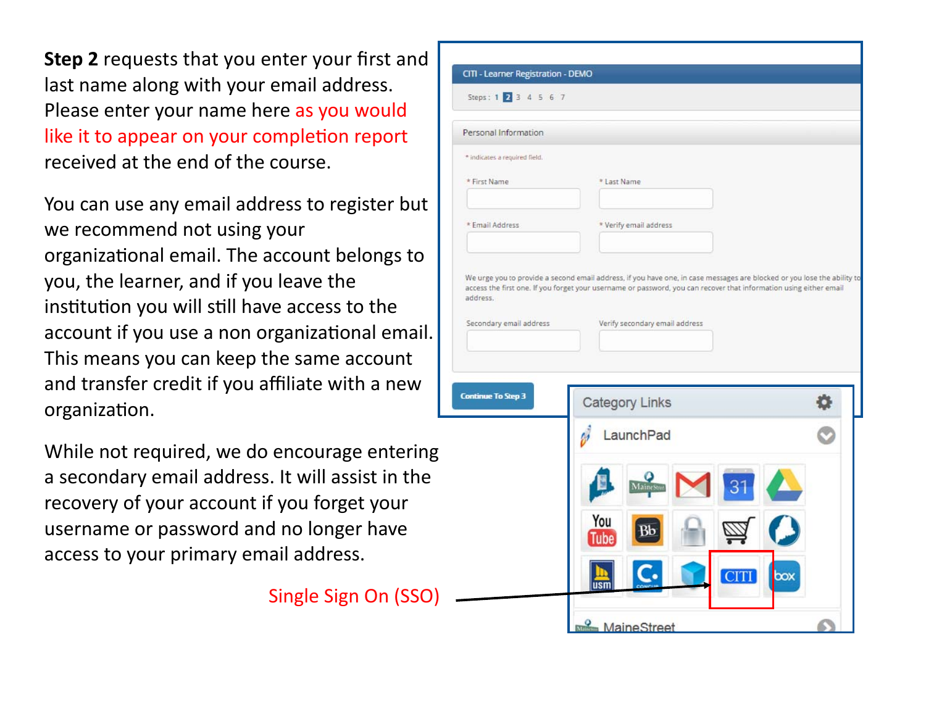**Step 2** requests that you enter your first and last name along with your email address. Please enter your name here as you would like it to appear on your completion report received at the end of the course.

You can use any email address to register but we recommend not using your organizational email. The account belongs to you, the learner, and if you leave the institution you will still have access to the account if you use a non organizational email. This means you can keep the same account and transfer credit if you affiliate with a new organizaƟon.

While not required, we do encourage entering a secondary email address. It will assist in the recovery of your account if you forget your username or password and no longer have access to your primary email address.

Single Sign On (SSO)

| Personal Information          |                                                                                                                         |  |
|-------------------------------|-------------------------------------------------------------------------------------------------------------------------|--|
| * indicates a required field. |                                                                                                                         |  |
| * First Name                  | * Last Name                                                                                                             |  |
|                               |                                                                                                                         |  |
| * Email Address               | * Verify email address                                                                                                  |  |
|                               |                                                                                                                         |  |
|                               | We urge you to provide a second email address, if you have one, in case messages are blocked or you lose the ability to |  |
|                               | access the first one. If you forget your username or password, you can recover that information using either email      |  |
| address.                      |                                                                                                                         |  |
|                               |                                                                                                                         |  |
| Secondary email address       | Verify secondary email address                                                                                          |  |
|                               |                                                                                                                         |  |
|                               |                                                                                                                         |  |
|                               | Category Links                                                                                                          |  |
|                               |                                                                                                                         |  |
|                               | LaunchPad                                                                                                               |  |
|                               |                                                                                                                         |  |
|                               | MaineStre                                                                                                               |  |
| <b>Continue To Step 3</b>     | You                                                                                                                     |  |
|                               | Tube                                                                                                                    |  |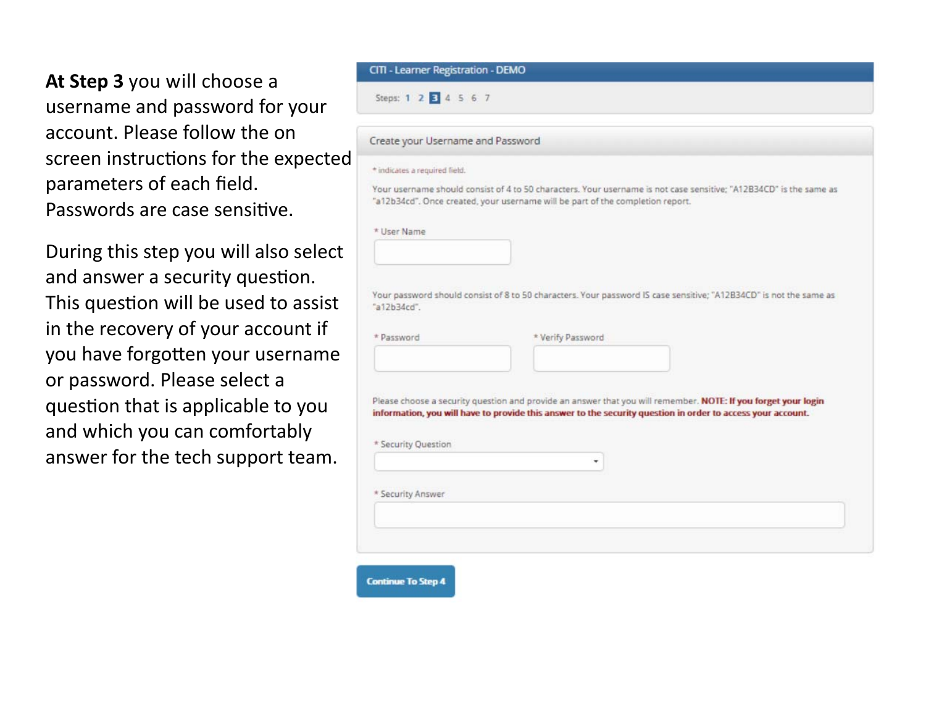**At Step 3** you will choose a username and password for your account. Please follow the on screen instructions for the expected parameters of each field. Passwords are case sensitive.

During this step you will also select and answer a security question. This question will be used to assist in the recovery of your account if you have forgotten your username or password. Please select a question that is applicable to you and which you can comfortably answer for the tech support team.

| Steps: 1 2 3 4 5 6 7              |                                                                                                                                                                                                                               |  |  |  |
|-----------------------------------|-------------------------------------------------------------------------------------------------------------------------------------------------------------------------------------------------------------------------------|--|--|--|
| Create your Username and Password |                                                                                                                                                                                                                               |  |  |  |
| * indicates a required field.     |                                                                                                                                                                                                                               |  |  |  |
|                                   | Your username should consist of 4 to 50 characters. Your username is not case sensitive; "A12B34CD" is the same as<br>"a12b34cd". Once created, your username will be part of the completion report.                          |  |  |  |
| * User Name                       |                                                                                                                                                                                                                               |  |  |  |
|                                   |                                                                                                                                                                                                                               |  |  |  |
| "a12b34cd".<br>* Password         | Your password should consist of 8 to 50 characters. Your password IS case sensitive; "A12B34CD" is not the same as<br>* Verify Password                                                                                       |  |  |  |
|                                   |                                                                                                                                                                                                                               |  |  |  |
| * Security Question               | Please choose a security question and provide an answer that you will remember. NOTE: If you forget your login<br>information, you will have to provide this answer to the security question in order to access your account. |  |  |  |
| * Security Answer                 |                                                                                                                                                                                                                               |  |  |  |
|                                   |                                                                                                                                                                                                                               |  |  |  |
|                                   |                                                                                                                                                                                                                               |  |  |  |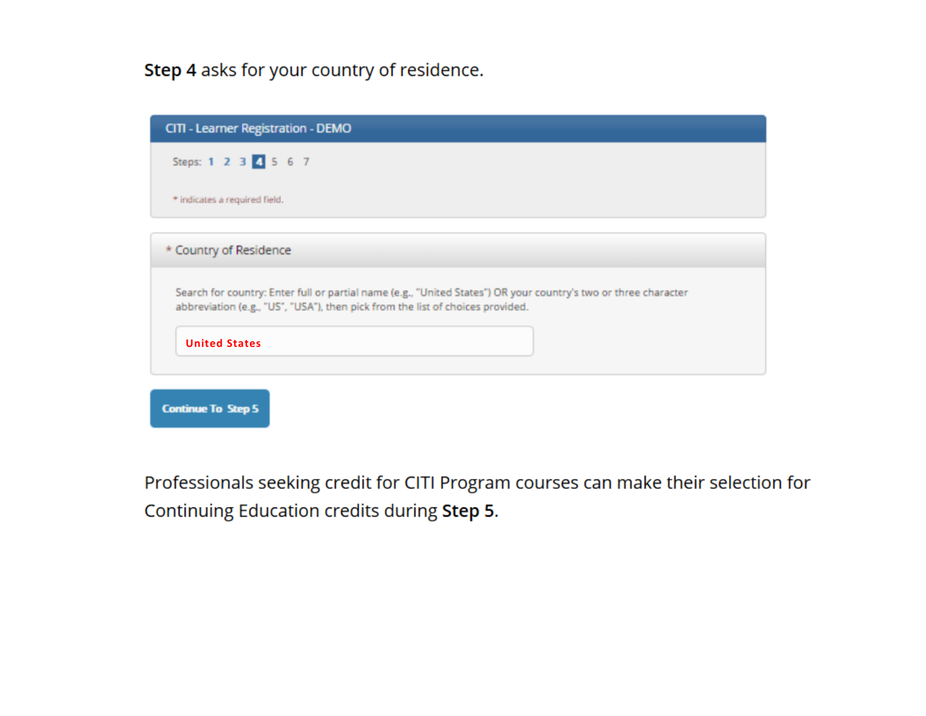## Step 4 asks for your country of residence.

| CITI - Learner Registration - DEMO                                                                                                                                                                |
|---------------------------------------------------------------------------------------------------------------------------------------------------------------------------------------------------|
| Steps: 1 2 3 4 5 6 7                                                                                                                                                                              |
| * indicates a required field.                                                                                                                                                                     |
| * Country of Residence                                                                                                                                                                            |
| Search for country: Enter full or partial name (e.g., "United States") OR your country's two or three character<br>abbreviation (e.g., "US", "USA"), then pick from the list of choices provided. |
| <b>United States</b>                                                                                                                                                                              |
|                                                                                                                                                                                                   |

Professionals seeking credit for CITI Program courses can make their selection for Continuing Education credits during Step 5.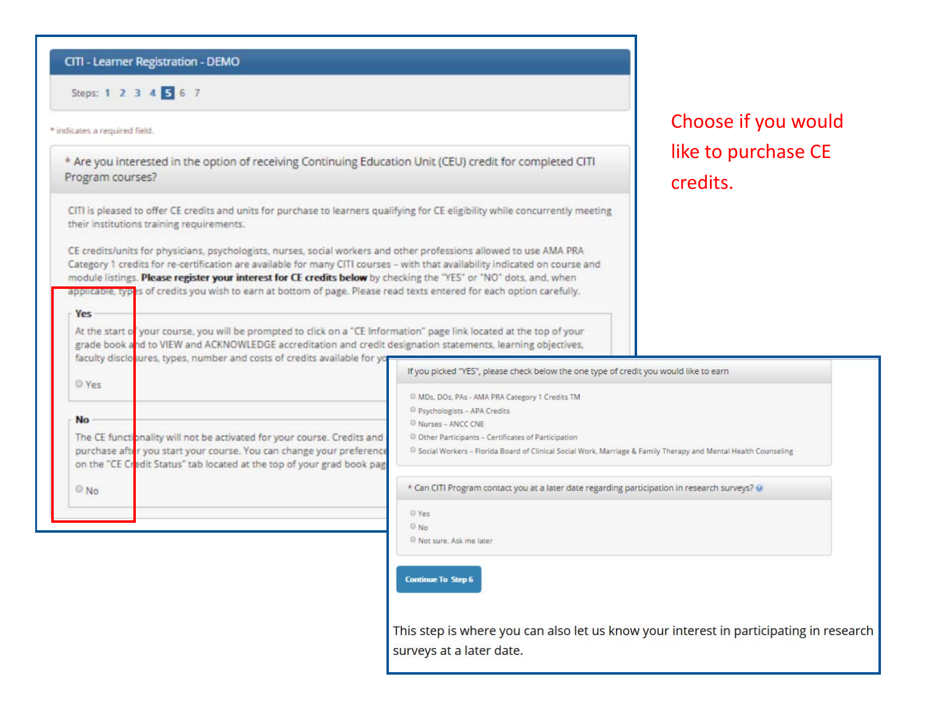#### CITI - Learner Registration - DEMO

Steps: 1 2 3 4 5 6 7

#### \* indicates a required field.

**Yes** 

\* Are you interested in the option of receiving Continuing Education Unit (CEU) credit for completed CITI Program courses?

CITI is pleased to offer CE credits and units for purchase to learners qualifying for CE eligibility while concurrently meeting their institutions training requirements.

CE credits/units for physicians, psychologists, nurses, social workers and other professions allowed to use AMA PRA Category 1 credits for re-certification are available for many CITI courses - with that availability indicated on course and module listings. Please register your interest for CE credits below by checking the "YES" or "NO" dots, and, when applicable, types of credits you wish to earn at bottom of page. Please read texts entered for each option carefully.

At the start of your course, you will be prompted to click on a "CE Information" page link located at the top of your grade book and to VIEW and ACKNOWLEDGE accreditation and credit designation statements, learning objectives,

## Choose if you would like to purchase CE credits.

|           | faculty disclosures, types, number and costs of credits available for yor                                                                                                                                                 |
|-----------|---------------------------------------------------------------------------------------------------------------------------------------------------------------------------------------------------------------------------|
| O Yes     |                                                                                                                                                                                                                           |
| <b>No</b> |                                                                                                                                                                                                                           |
|           | The CE functionality will not be activated for your course. Credits and<br>purchase after you start your course. You can change your preference<br>on the "CE Credit Status" tab located at the top of your grad book pag |
| O No      |                                                                                                                                                                                                                           |

If you picked "YES", please check below the one type of credit you would like to earn

C MDs, DOs, PAs - AMA PRA Category 1 Credits TM

<sup>©</sup> Psychologists - APA Credits

C Nurses - ANCC CNE

© Other Participants - Certificates of Participation

<sup>©</sup> Social Workers - Florida Board of Clinical Social Work, Marriage & Family Therapy and Mental Health Counseling

\* Can CITI Program contact you at a later date regarding participation in research surveys? @

 $O$  Yes  $@$  No.

Not sure. Ask me later

**Continue To Step 6** 

This step is where you can also let us know your interest in participating in research surveys at a later date.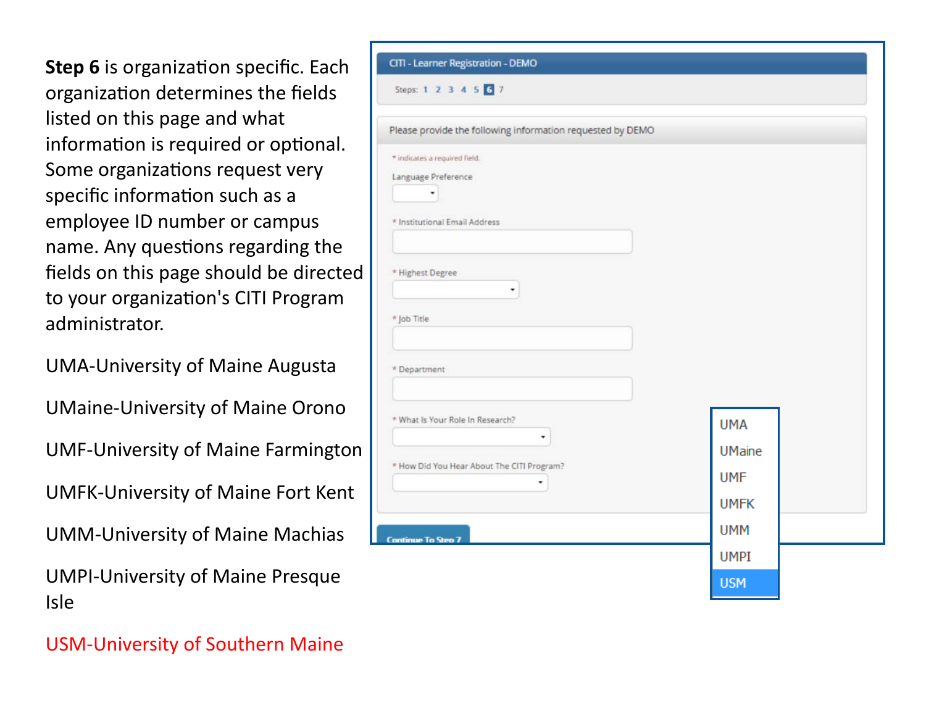**Step 6** is organization specific. Each organizaƟon determines the fields listed on this page and what information is required or optional. Some organizations request very specific information such as a employee ID number or campus name. Any questions regarding the fields on this page should be directed to your organization's CITI Program administrator.

UMA‐University of Maine Augusta

UMaine‐University of Maine Orono

UMF‐University of Maine Farmington

UMFK‐University of Maine Fort Kent

UMM‐University of Maine Machias

UMPI‐University of Maine Presque Isle

| Steps: 1 2 3 4 5 6 7                                       |               |  |
|------------------------------------------------------------|---------------|--|
| Please provide the following information requested by DEMO |               |  |
| * indicates a required field.                              |               |  |
| Language Preference                                        |               |  |
| ٠                                                          |               |  |
| * Institutional Email Address                              |               |  |
|                                                            |               |  |
| * Highest Degree                                           |               |  |
| ۰                                                          |               |  |
| * Job Title                                                |               |  |
|                                                            |               |  |
|                                                            |               |  |
| * Department                                               |               |  |
|                                                            |               |  |
| * What Is Your Role In Research?                           | <b>UMA</b>    |  |
| ۰                                                          | <b>UMaine</b> |  |
| * How Did You Hear About The CITI Program?                 |               |  |
| ٠                                                          | <b>UMF</b>    |  |
|                                                            | <b>UMFK</b>   |  |
| <b>Continue To Step 7</b>                                  | <b>UMM</b>    |  |
|                                                            | <b>UMPI</b>   |  |
|                                                            |               |  |

USM‐University of Southern Maine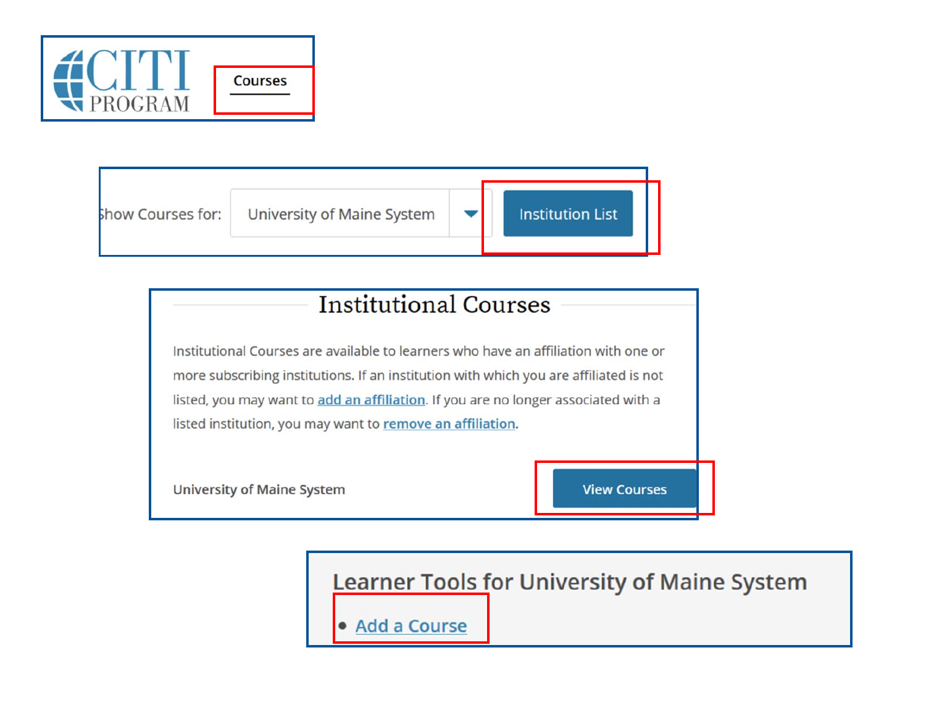



# **Institutional Courses**

Institutional Courses are available to learners who have an affiliation with one or more subscribing institutions. If an institution with which you are affiliated is not listed, you may want to add an affiliation. If you are no longer associated with a listed institution, you may want to remove an affiliation.

**University of Maine System** 

**View Courses** 

**Learner Tools for University of Maine System** 

• Add a Course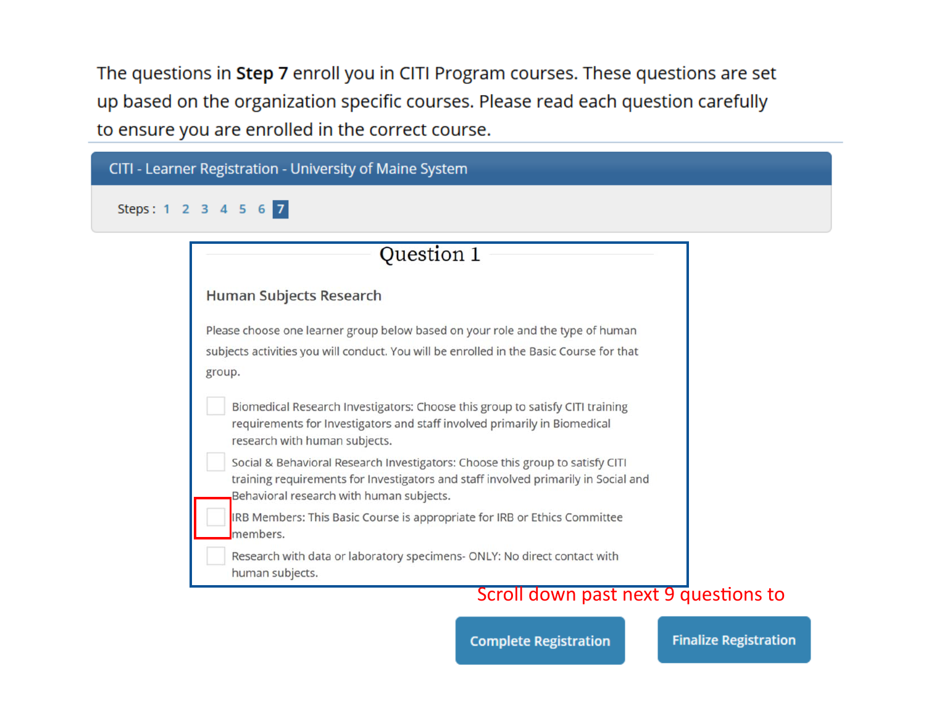The questions in Step 7 enroll you in CITI Program courses. These questions are set up based on the organization specific courses. Please read each question carefully to ensure you are enrolled in the correct course.

| CITI - Learner Registration - University of Maine System                                                                                                                                                        |  |  |
|-----------------------------------------------------------------------------------------------------------------------------------------------------------------------------------------------------------------|--|--|
| Steps: 1 2 3 4 5 6 7                                                                                                                                                                                            |  |  |
| Question 1                                                                                                                                                                                                      |  |  |
| Human Subjects Research                                                                                                                                                                                         |  |  |
| Please choose one learner group below based on your role and the type of human<br>subjects activities you will conduct. You will be enrolled in the Basic Course for that<br>group.                             |  |  |
| Biomedical Research Investigators: Choose this group to satisfy CITI training<br>requirements for Investigators and staff involved primarily in Biomedical<br>research with human subjects.                     |  |  |
| Social & Behavioral Research Investigators: Choose this group to satisfy CITI<br>training requirements for Investigators and staff involved primarily in Social and<br>Behavioral research with human subjects. |  |  |
| IRB Members: This Basic Course is appropriate for IRB or Ethics Committee<br>members.                                                                                                                           |  |  |
| Research with data or laboratory specimens- ONLY: No direct contact with<br>human subjects.<br>Scroll down past port 0 questions to                                                                             |  |  |

### Scroll down past next 9 questions to

**Complete Registration** 

**Finalize Registration**